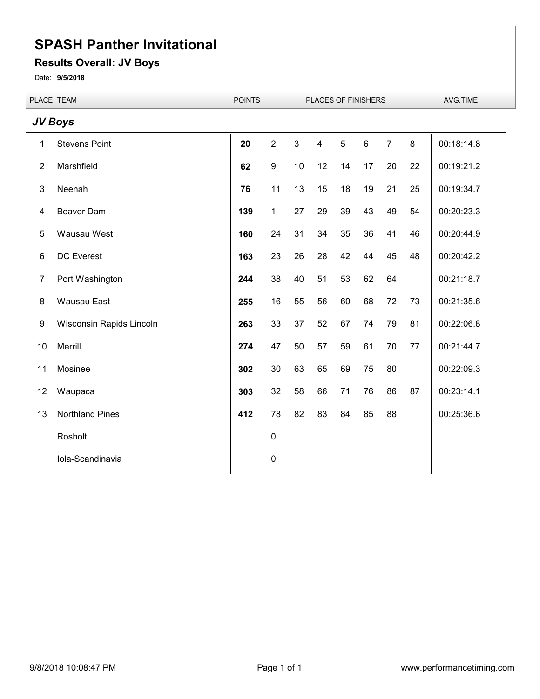### **Results Overall: JV Boys**

Date: **9/5/2018**

| PLACE TEAM      |                          | <b>POINTS</b> | PLACES OF FINISHERS |                |                         |                | AVG.TIME |                |    |            |
|-----------------|--------------------------|---------------|---------------------|----------------|-------------------------|----------------|----------|----------------|----|------------|
|                 | JV Boys                  |               |                     |                |                         |                |          |                |    |            |
| 1               | <b>Stevens Point</b>     | 20            | $\overline{2}$      | $\mathfrak{S}$ | $\overline{\mathbf{4}}$ | $\overline{5}$ | $\,6\,$  | $\overline{7}$ | 8  | 00:18:14.8 |
| $\overline{2}$  | Marshfield               | 62            | $\boldsymbol{9}$    | 10             | 12                      | 14             | 17       | 20             | 22 | 00:19:21.2 |
| $\mathsf 3$     | Neenah                   | 76            | 11                  | 13             | 15                      | 18             | 19       | 21             | 25 | 00:19:34.7 |
| 4               | <b>Beaver Dam</b>        | 139           | 1                   | 27             | 29                      | 39             | 43       | 49             | 54 | 00:20:23.3 |
| 5               | Wausau West              | 160           | 24                  | 31             | 34                      | 35             | 36       | 41             | 46 | 00:20:44.9 |
| $6\phantom{1}6$ | <b>DC Everest</b>        | 163           | 23                  | 26             | 28                      | 42             | 44       | 45             | 48 | 00:20:42.2 |
| $\overline{7}$  | Port Washington          | 244           | 38                  | 40             | 51                      | 53             | 62       | 64             |    | 00:21:18.7 |
| $\bf 8$         | Wausau East              | 255           | 16                  | 55             | 56                      | 60             | 68       | 72             | 73 | 00:21:35.6 |
| 9               | Wisconsin Rapids Lincoln | 263           | 33                  | 37             | 52                      | 67             | 74       | 79             | 81 | 00:22:06.8 |
| 10              | Merrill                  | 274           | 47                  | 50             | 57                      | 59             | 61       | 70             | 77 | 00:21:44.7 |
| 11              | Mosinee                  | 302           | 30                  | 63             | 65                      | 69             | 75       | 80             |    | 00:22:09.3 |
| 12              | Waupaca                  | 303           | 32                  | 58             | 66                      | 71             | 76       | 86             | 87 | 00:23:14.1 |
| 13              | <b>Northland Pines</b>   | 412           | 78                  | 82             | 83                      | 84             | 85       | 88             |    | 00:25:36.6 |
|                 | Rosholt                  |               | $\boldsymbol{0}$    |                |                         |                |          |                |    |            |
|                 | Iola-Scandinavia         |               | 0                   |                |                         |                |          |                |    |            |
|                 |                          |               |                     |                |                         |                |          |                |    |            |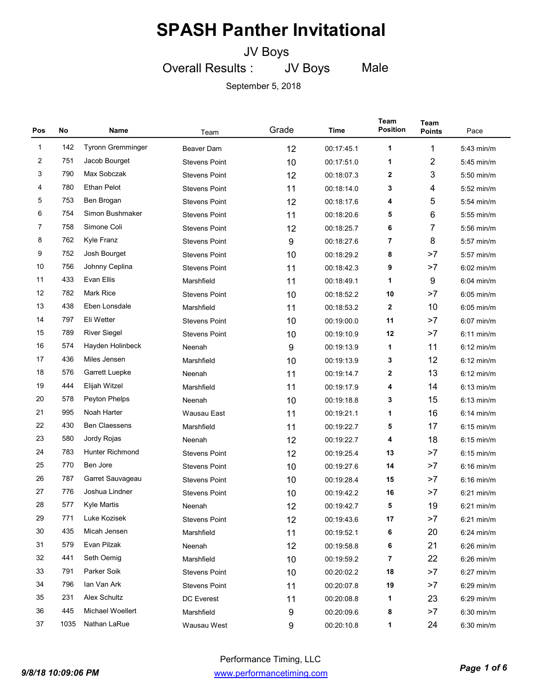### JV Boys

JV Boys

Male

Overall Results :

| Pos          | No   | Name                   | Team                 | Grade | Time       | Team<br><b>Position</b> | Team<br><b>Points</b> | Pace         |
|--------------|------|------------------------|----------------------|-------|------------|-------------------------|-----------------------|--------------|
| $\mathbf{1}$ | 142  | Tyronn Gremminger      | <b>Beaver Dam</b>    | 12    | 00:17:45.1 | 1                       | 1                     | 5:43 min/m   |
| 2            | 751  | Jacob Bourget          | <b>Stevens Point</b> | 10    | 00:17:51.0 | 1                       | $\overline{2}$        | $5:45$ min/m |
| 3            | 790  | Max Sobczak            | <b>Stevens Point</b> | 12    | 00:18:07.3 | 2                       | 3                     | $5:50$ min/m |
| 4            | 780  | <b>Ethan Pelot</b>     | <b>Stevens Point</b> | 11    | 00:18:14.0 | 3                       | 4                     | $5:52$ min/m |
| 5            | 753  | Ben Brogan             | <b>Stevens Point</b> | 12    | 00:18:17.6 | 4                       | 5                     | $5:54$ min/m |
| 6            | 754  | Simon Bushmaker        | <b>Stevens Point</b> | 11    | 00:18:20.6 | 5                       | 6                     | $5:55$ min/m |
| 7            | 758  | Simone Coli            | <b>Stevens Point</b> | 12    | 00:18:25.7 | 6                       | 7                     | $5:56$ min/m |
| 8            | 762  | Kyle Franz             | <b>Stevens Point</b> | 9     | 00:18:27.6 | 7                       | 8                     | $5:57$ min/m |
| 9            | 752  | Josh Bourget           | <b>Stevens Point</b> | 10    | 00:18:29.2 | 8                       | >7                    | 5:57 min/m   |
| 10           | 756  | Johnny Ceplina         | <b>Stevens Point</b> | 11    | 00:18:42.3 | 9                       | >7                    | $6:02$ min/m |
| 11           | 433  | Evan Ellis             | Marshfield           | 11    | 00:18:49.1 | 1                       | 9                     | 6:04 min/m   |
| 12           | 782  | <b>Mark Rice</b>       | <b>Stevens Point</b> | 10    | 00:18:52.2 | 10                      | >7                    | $6:05$ min/m |
| 13           | 438  | Eben Lonsdale          | Marshfield           | 11    | 00:18:53.2 | 2                       | 10                    | $6:05$ min/m |
| 14           | 797  | Eli Wetter             | <b>Stevens Point</b> | 10    | 00:19:00.0 | 11                      | >7                    | $6:07$ min/m |
| 15           | 789  | <b>River Siegel</b>    | <b>Stevens Point</b> | 10    | 00:19:10.9 | 12                      | >7                    | $6:11$ min/m |
| 16           | 574  | Hayden Holinbeck       | Neenah               | 9     | 00:19:13.9 | 1                       | 11                    | $6:12$ min/m |
| 17           | 436  | Miles Jensen           | Marshfield           | 10    | 00:19:13.9 | 3                       | 12                    | $6:12$ min/m |
| 18           | 576  | Garrett Luepke         | Neenah               | 11    | 00:19:14.7 | 2                       | 13                    | $6:12$ min/m |
| 19           | 444  | Elijah Witzel          | Marshfield           | 11    | 00:19:17.9 | 4                       | 14                    | $6:13$ min/m |
| 20           | 578  | Peyton Phelps          | Neenah               | 10    | 00:19:18.8 | 3                       | 15                    | $6:13$ min/m |
| 21           | 995  | Noah Harter            | Wausau East          | 11    | 00:19:21.1 | 1                       | 16                    | $6:14$ min/m |
| 22           | 430  | <b>Ben Claessens</b>   | Marshfield           | 11    | 00:19:22.7 | 5                       | 17                    | $6:15$ min/m |
| 23           | 580  | Jordy Rojas            | Neenah               | 12    | 00:19:22.7 | 4                       | 18                    | $6:15$ min/m |
| 24           | 783  | <b>Hunter Richmond</b> | <b>Stevens Point</b> | 12    | 00:19:25.4 | 13                      | >7                    | $6:15$ min/m |
| 25           | 770  | Ben Jore               | <b>Stevens Point</b> | 10    | 00:19:27.6 | 14                      | >7                    | $6:16$ min/m |
| 26           | 787  | Garret Sauvageau       | <b>Stevens Point</b> | 10    | 00:19:28.4 | 15                      | >7                    | $6:16$ min/m |
| 27           | 776  | Joshua Lindner         | <b>Stevens Point</b> | 10    | 00:19:42.2 | 16                      | >7                    | $6:21$ min/m |
| 28           | 577  | <b>Kyle Martis</b>     | Neenah               | 12    | 00:19:42.7 | 5                       | 19                    | $6:21$ min/m |
| 29           | 771  | Luke Kozisek           | <b>Stevens Point</b> | 12    | 00:19:43.6 | 17                      | >7                    | 6:21 min/m   |
| 30           | 435  | Micah Jensen           | Marshfield           | 11    | 00:19:52.1 | 6                       | 20                    | $6:24$ min/m |
| 31           | 579  | Evan Pilzak            | Neenah               | 12    | 00:19:58.8 | 6                       | 21                    | $6:26$ min/m |
| 32           | 441  | Seth Oemig             | Marshfield           | 10    | 00:19:59.2 | 7                       | 22                    | $6:26$ min/m |
| 33           | 791  | Parker Soik            | <b>Stevens Point</b> | 10    | 00:20:02.2 | 18                      | >7                    | $6:27$ min/m |
| 34           | 796  | Ian Van Ark            | <b>Stevens Point</b> | 11    | 00:20:07.8 | 19                      | >7                    | $6:29$ min/m |
| 35           | 231  | Alex Schultz           | DC Everest           | 11    | 00:20:08.8 | 1                       | 23                    | $6:29$ min/m |
| 36           | 445  | Michael Woellert       | Marshfield           | 9     | 00:20:09.6 | 8                       | >7                    | 6:30 min/m   |
| 37           | 1035 | Nathan LaRue           | Wausau West          | 9     | 00:20:10.8 | 1                       | 24                    | 6:30 min/m   |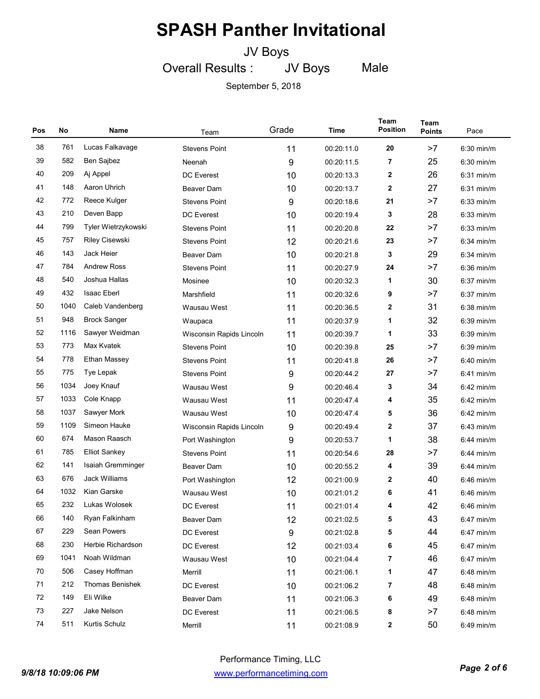### JV Boys

JV Boys

Male

September 5, 2018

Overall Results :

| Pos | No   | Name                  | Team                     | Grade | Time       | Team<br><b>Position</b> | <b>Team</b><br><b>Points</b> | Pace         |
|-----|------|-----------------------|--------------------------|-------|------------|-------------------------|------------------------------|--------------|
| 38  | 761  | Lucas Falkavage       | <b>Stevens Point</b>     | 11    | 00:20:11.0 | 20                      | >7                           | $6:30$ min/m |
| 39  | 582  | Ben Sajbez            | Neenah                   | 9     | 00:20:11.5 | 7                       | 25                           | $6:30$ min/m |
| 40  | 209  | Aj Appel              | <b>DC</b> Everest        | 10    | 00:20:13.3 | 2                       | 26                           | $6:31$ min/m |
| 41  | 148  | Aaron Uhrich          | <b>Beaver Dam</b>        | 10    | 00:20:13.7 | 2                       | 27                           | $6:31$ min/m |
| 42  | 772  | Reece Kulger          | <b>Stevens Point</b>     | 9     | 00:20:18.6 | 21                      | >7                           | $6:33$ min/m |
| 43  | 210  | Deven Bapp            | DC Everest               | 10    | 00:20:19.4 | 3                       | 28                           | $6:33$ min/m |
| 44  | 799  | Tyler Wietrzykowski   | <b>Stevens Point</b>     | 11    | 00:20:20.8 | 22                      | >7                           | $6:33$ min/m |
| 45  | 757  | <b>Riley Cisewski</b> | <b>Stevens Point</b>     | 12    | 00:20:21.6 | 23                      | >7                           | $6:34$ min/m |
| 46  | 143  | Jack Heier            | <b>Beaver Dam</b>        | 10    | 00:20:21.8 | 3                       | 29                           | 6:34 min/m   |
| 47  | 784  | <b>Andrew Ross</b>    | <b>Stevens Point</b>     | 11    | 00:20:27.9 | 24                      | >7                           | $6:36$ min/m |
| 48  | 540  | Joshua Hallas         | Mosinee                  | 10    | 00:20:32.3 | 1                       | 30                           | 6:37 min/m   |
| 49  | 432  | <b>Isaac Eberl</b>    | Marshfield               | 11    | 00:20:32.6 | 9                       | >7                           | 6:37 min/m   |
| 50  | 1040 | Caleb Vandenberg      | Wausau West              | 11    | 00:20:36.5 | 2                       | 31                           | $6:38$ min/m |
| 51  | 948  | <b>Brock Sanger</b>   | Waupaca                  | 11    | 00:20:37.9 | 1                       | 32                           | $6:39$ min/m |
| 52  | 1116 | Sawyer Weidman        | Wisconsin Rapids Lincoln | 11    | 00:20:39.7 | 1                       | 33                           | $6:39$ min/m |
| 53  | 773  | Max Kvatek            | <b>Stevens Point</b>     | 10    | 00:20:39.8 | 25                      | >7                           | $6:39$ min/m |
| 54  | 778  | Ethan Massey          | <b>Stevens Point</b>     | 11    | 00:20:41.8 | 26                      | >7                           | 6:40 min/m   |
| 55  | 775  | Tye Lepak             | <b>Stevens Point</b>     | 9     | 00:20:44.2 | 27                      | >7                           | 6:41 min/m   |
| 56  | 1034 | Joey Knauf            | Wausau West              | 9     | 00:20:46.4 | 3                       | 34                           | $6:42$ min/m |
| 57  | 1033 | Cole Knapp            | Wausau West              | 11    | 00:20:47.4 | 4                       | 35                           | $6:42$ min/m |
| 58  | 1037 | Sawyer Mork           | Wausau West              | 10    | 00:20:47.4 | 5                       | 36                           | $6:42$ min/m |
| 59  | 1109 | Simeon Hauke          | Wisconsin Rapids Lincoln | 9     | 00:20:49.4 | 2                       | 37                           | $6:43$ min/m |
| 60  | 674  | Mason Raasch          | Port Washington          | 9     | 00:20:53.7 | 1                       | 38                           | 6:44 min/m   |
| 61  | 785  | <b>Elliot Sankey</b>  | <b>Stevens Point</b>     | 11    | 00:20:54.6 | 28                      | >7                           | 6:44 min/m   |
| 62  | 141  | Isaiah Gremminger     | Beaver Dam               | 10    | 00:20:55.2 | 4                       | 39                           | $6:44$ min/m |
| 63  | 676  | <b>Jack Williams</b>  | Port Washington          | 12    | 00:21:00.9 | 2                       | 40                           | $6:46$ min/m |
| 64  | 1032 | Kian Garske           | Wausau West              | 10    | 00:21:01.2 | 6                       | 41                           | $6:46$ min/m |
| 65  | 232  | Lukas Wolosek         | <b>DC</b> Everest        | 11    | 00:21:01.4 | 4                       | 42                           | 6:46 min/m   |
| 66  | 140  | Ryan Falkinham        | Beaver Dam               | 12    | 00:21:02.5 | 5                       | 43                           | 6:47 min/m   |
| 67  | 229  | Sean Powers           | DC Everest               | 9     | 00:21:02.8 | 5                       | 44                           | 6:47 min/m   |
| 68  | 230  | Herbie Richardson     | DC Everest               | 12    | 00:21:03.4 | 6                       | 45                           | $6:47$ min/m |
| 69  | 1041 | Noah Wildman          | Wausau West              | 10    | 00:21:04.4 | 7                       | 46                           | 6:47 min/m   |
| 70  | 506  | Casey Hoffman         | Merrill                  | 11    | 00:21:06.1 | 1                       | 47                           | 6:48 min/m   |
| 71  | 212  | Thomas Benishek       | DC Everest               | 10    | 00:21:06.2 | 7                       | 48                           | 6:48 min/m   |
| 72  | 149  | Eli Wilke             | Beaver Dam               | 11    | 00:21:06.3 | 6                       | 49                           | 6:48 min/m   |
| 73  | 227  | Jake Nelson           | DC Everest               | 11    | 00:21:06.5 | 8                       | >7                           | 6:48 min/m   |
| 74  | 511  | Kurtis Schulz         | Merrill                  | 11    | 00:21:08.9 | 2                       | 50                           | 6:49 min/m   |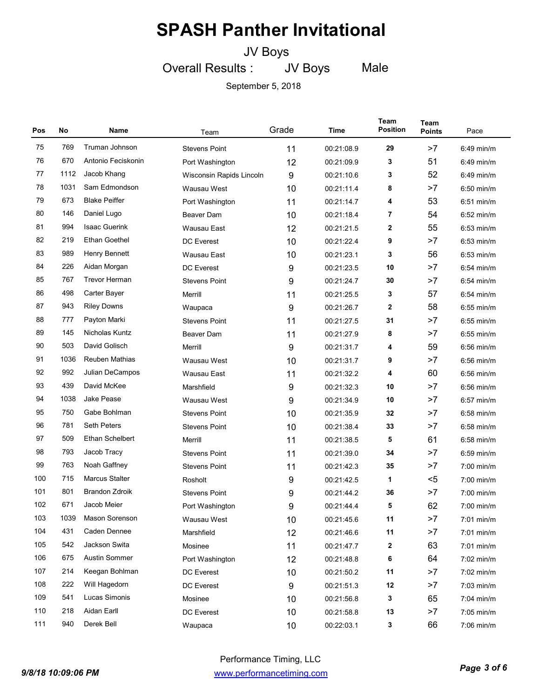JV Boys

Male

JV Boys

September 5, 2018

Overall Results :

| Pos | No   | Name                   | Team                     | Grade | Time       | Team<br><b>Position</b> | Team<br><b>Points</b> | Pace         |
|-----|------|------------------------|--------------------------|-------|------------|-------------------------|-----------------------|--------------|
| 75  | 769  | Truman Johnson         | <b>Stevens Point</b>     | 11    | 00:21:08.9 | 29                      | >7                    | $6:49$ min/m |
| 76  | 670  | Antonio Feciskonin     | Port Washington          | 12    | 00:21:09.9 | 3                       | 51                    | $6:49$ min/m |
| 77  | 1112 | Jacob Khang            | Wisconsin Rapids Lincoln | 9     | 00:21:10.6 | 3                       | 52                    | $6:49$ min/m |
| 78  | 1031 | Sam Edmondson          | Wausau West              | 10    | 00:21:11.4 | 8                       | >7                    | $6:50$ min/m |
| 79  | 673  | <b>Blake Peiffer</b>   | Port Washington          | 11    | 00:21:14.7 | 4                       | 53                    | $6:51$ min/m |
| 80  | 146  | Daniel Lugo            | <b>Beaver Dam</b>        | 10    | 00:21:18.4 | 7                       | 54                    | $6:52$ min/m |
| 81  | 994  | <b>Isaac Guerink</b>   | Wausau East              | 12    | 00:21:21.5 | 2                       | 55                    | $6:53$ min/m |
| 82  | 219  | Ethan Goethel          | <b>DC</b> Everest        | 10    | 00:21:22.4 | 9                       | >7                    | $6:53$ min/m |
| 83  | 989  | Henry Bennett          | Wausau East              | 10    | 00:21:23.1 | 3                       | 56                    | $6:53$ min/m |
| 84  | 226  | Aidan Morgan           | <b>DC</b> Everest        | 9     | 00:21:23.5 | 10                      | >7                    | $6:54$ min/m |
| 85  | 767  | <b>Trevor Herman</b>   | <b>Stevens Point</b>     | 9     | 00:21:24.7 | 30                      | >7                    | 6:54 min/m   |
| 86  | 498  | Carter Bayer           | Merrill                  | 11    | 00:21:25.5 | 3                       | 57                    | $6:54$ min/m |
| 87  | 943  | <b>Riley Downs</b>     | Waupaca                  | 9     | 00:21:26.7 | 2                       | 58                    | $6:55$ min/m |
| 88  | 777  | Payton Marki           | <b>Stevens Point</b>     | 11    | 00:21:27.5 | 31                      | >7                    | $6:55$ min/m |
| 89  | 145  | Nicholas Kuntz         | Beaver Dam               | 11    | 00:21:27.9 | 8                       | >7                    | 6:55 min/m   |
| 90  | 503  | David Golisch          | Merrill                  | 9     | 00:21:31.7 | 4                       | 59                    | $6:56$ min/m |
| 91  | 1036 | Reuben Mathias         | Wausau West              | 10    | 00:21:31.7 | 9                       | >7                    | 6:56 min/m   |
| 92  | 992  | Julian DeCampos        | Wausau East              | 11    | 00:21:32.2 | 4                       | 60                    | $6:56$ min/m |
| 93  | 439  | David McKee            | Marshfield               | 9     | 00:21:32.3 | 10                      | >7                    | $6:56$ min/m |
| 94  | 1038 | <b>Jake Pease</b>      | Wausau West              | 9     | 00:21:34.9 | 10                      | >7                    | $6:57$ min/m |
| 95  | 750  | Gabe Bohlman           | <b>Stevens Point</b>     | 10    | 00:21:35.9 | 32                      | >7                    | 6:58 min/m   |
| 96  | 781  | <b>Seth Peters</b>     | <b>Stevens Point</b>     | 10    | 00:21:38.4 | 33                      | >7                    | $6:58$ min/m |
| 97  | 509  | <b>Ethan Schelbert</b> | Merrill                  | 11    | 00:21:38.5 | 5                       | 61                    | $6:58$ min/m |
| 98  | 793  | Jacob Tracy            | <b>Stevens Point</b>     | 11    | 00:21:39.0 | 34                      | >7                    | $6:59$ min/m |
| 99  | 763  | Noah Gaffney           | <b>Stevens Point</b>     | 11    | 00:21:42.3 | 35                      | >7                    | $7:00$ min/m |
| 100 | 715  | <b>Marcus Stalter</b>  | Rosholt                  | 9     | 00:21:42.5 | 1                       | $5$                   | $7:00$ min/m |
| 101 | 801  | <b>Brandon Zdroik</b>  | <b>Stevens Point</b>     | 9     | 00:21:44.2 | 36                      | >7                    | $7:00$ min/m |
| 102 | 671  | Jacob Meier            | Port Washington          | 9     | 00:21:44.4 | 5                       | 62                    | 7:00 min/m   |
| 103 | 1039 | Mason Sorenson         | Wausau West              | 10    | 00:21:45.6 | 11                      | >7                    | 7:01 min/m   |
| 104 | 431  | Caden Dennee           | Marshfield               | 12    | 00:21:46.6 | 11                      | >7                    | 7:01 min/m   |
| 105 | 542  | Jackson Swita          | Mosinee                  | 11    | 00:21:47.7 | 2                       | 63                    | 7:01 min/m   |
| 106 | 675  | Austin Sommer          | Port Washington          | 12    | 00:21:48.8 | 6                       | 64                    | 7:02 min/m   |
| 107 | 214  | Keegan Bohlman         | DC Everest               | 10    | 00:21:50.2 | 11                      | >7                    | 7:02 min/m   |
| 108 | 222  | Will Hagedorn          | DC Everest               | 9     | 00:21:51.3 | 12                      | >7                    | 7:03 min/m   |
| 109 | 541  | Lucas Simonis          | Mosinee                  | 10    | 00:21:56.8 | 3                       | 65                    | 7:04 min/m   |
| 110 | 218  | Aidan Earll            | DC Everest               | 10    | 00:21:58.8 | 13                      | >7                    | 7:05 min/m   |
| 111 | 940  | Derek Bell             | Waupaca                  | 10    | 00:22:03.1 | 3                       | 66                    | 7:06 min/m   |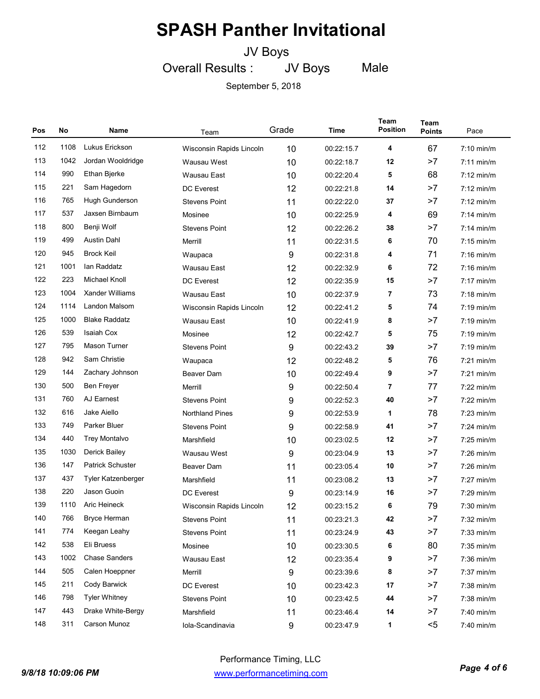### JV Boys

Overall Results : JV Boys Male

| Pos | No   | Name                    | Team                     | Grade | Time       | <b>Team</b><br><b>Position</b> | Team<br><b>Points</b> | Pace                 |
|-----|------|-------------------------|--------------------------|-------|------------|--------------------------------|-----------------------|----------------------|
| 112 | 1108 | Lukus Erickson          | Wisconsin Rapids Lincoln | 10    | 00:22:15.7 | 4                              | 67                    | $7:10$ min/m         |
| 113 | 1042 | Jordan Wooldridge       | Wausau West              | 10    | 00:22:18.7 | 12                             | >7                    | $7:11$ min/m         |
| 114 | 990  | Ethan Bjerke            | Wausau East              | 10    | 00:22:20.4 | 5                              | 68                    | $7:12 \text{ min/m}$ |
| 115 | 221  | Sam Hagedorn            | <b>DC</b> Everest        | 12    | 00:22:21.8 | 14                             | >7                    | $7:12 \text{ min/m}$ |
| 116 | 765  | Hugh Gunderson          | <b>Stevens Point</b>     | 11    | 00:22:22.0 | 37                             | >7                    | $7:12$ min/m         |
| 117 | 537  | Jaxsen Birnbaum         | Mosinee                  | 10    | 00:22:25.9 | 4                              | 69                    | $7:14$ min/m         |
| 118 | 800  | Benji Wolf              | <b>Stevens Point</b>     | 12    | 00:22:26.2 | 38                             | >7                    | $7:14$ min/m         |
| 119 | 499  | <b>Austin Dahl</b>      | Merrill                  | 11    | 00:22:31.5 | 6                              | 70                    | $7:15 \text{ min/m}$ |
| 120 | 945  | <b>Brock Keil</b>       | Waupaca                  | 9     | 00:22:31.8 | 4                              | 71                    | 7:16 min/m           |
| 121 | 1001 | lan Raddatz             | Wausau East              | 12    | 00:22:32.9 | 6                              | 72                    | $7:16$ min/m         |
| 122 | 223  | Michael Knoll           | <b>DC</b> Everest        | 12    | 00:22:35.9 | 15                             | >7                    | $7:17$ min/m         |
| 123 | 1004 | <b>Xander Williams</b>  | Wausau East              | 10    | 00:22:37.9 | 7                              | 73                    | $7:18$ min/m         |
| 124 | 1114 | Landon Malsom           | Wisconsin Rapids Lincoln | 12    | 00:22:41.2 | 5                              | 74                    | 7:19 min/m           |
| 125 | 1000 | <b>Blake Raddatz</b>    | Wausau East              | 10    | 00:22:41.9 | 8                              | >7                    | $7:19$ min/m         |
| 126 | 539  | Isaiah Cox              | Mosinee                  | 12    | 00:22:42.7 | 5                              | 75                    | $7:19$ min/m         |
| 127 | 795  | <b>Mason Turner</b>     | <b>Stevens Point</b>     | 9     | 00:22:43.2 | 39                             | >7                    | $7:19$ min/m         |
| 128 | 942  | Sam Christie            | Waupaca                  | 12    | 00:22:48.2 | 5                              | 76                    | $7:21$ min/m         |
| 129 | 144  | Zachary Johnson         | <b>Beaver Dam</b>        | 10    | 00:22:49.4 | 9                              | >7                    | $7:21$ min/m         |
| 130 | 500  | <b>Ben Freyer</b>       | Merrill                  | 9     | 00:22:50.4 | 7                              | 77                    | $7:22$ min/m         |
| 131 | 760  | AJ Earnest              | <b>Stevens Point</b>     | 9     | 00:22:52.3 | 40                             | >7                    | 7:22 min/m           |
| 132 | 616  | Jake Aiello             | <b>Northland Pines</b>   | 9     | 00:22:53.9 | 1                              | 78                    | $7:23$ min/m         |
| 133 | 749  | Parker Bluer            | <b>Stevens Point</b>     | 9     | 00:22:58.9 | 41                             | >7                    | $7:24$ min/m         |
| 134 | 440  | <b>Trey Montalvo</b>    | Marshfield               | 10    | 00:23:02.5 | 12                             | >7                    | $7:25$ min/m         |
| 135 | 1030 | Derick Bailey           | Wausau West              | 9     | 00:23:04.9 | 13                             | >7                    | 7:26 min/m           |
| 136 | 147  | <b>Patrick Schuster</b> | <b>Beaver Dam</b>        | 11    | 00:23:05.4 | 10                             | >7                    | $7:26$ min/m         |
| 137 | 437  | Tyler Katzenberger      | Marshfield               | 11    | 00:23:08.2 | 13                             | >7                    | $7:27$ min/m         |
| 138 | 220  | Jason Guoin             | <b>DC</b> Everest        | 9     | 00:23:14.9 | 16                             | >7                    | 7:29 min/m           |
| 139 | 1110 | Aric Heineck            | Wisconsin Rapids Lincoln | 12    | 00:23:15.2 | 6                              | 79                    | $7:30$ min/m         |
| 140 | 766  | <b>Bryce Herman</b>     | <b>Stevens Point</b>     | 11    | 00:23:21.3 | 42                             | >7                    | 7:32 min/m           |
| 141 | 774  | Keegan Leahy            | <b>Stevens Point</b>     | 11    | 00:23:24.9 | 43                             | >7                    | 7:33 min/m           |
| 142 | 538  | Eli Bruess              | Mosinee                  | 10    | 00:23:30.5 | 6                              | 80                    | 7:35 min/m           |
| 143 | 1002 | Chase Sanders           | Wausau East              | 12    | 00:23:35.4 | 9                              | >7                    | 7:36 min/m           |
| 144 | 505  | Calen Hoeppner          | Merrill                  | 9     | 00:23:39.6 | 8                              | >7                    | 7:37 min/m           |
| 145 | 211  | Cody Barwick            | DC Everest               | 10    | 00:23:42.3 | 17                             | >7                    | 7:38 min/m           |
| 146 | 798  | <b>Tyler Whitney</b>    | <b>Stevens Point</b>     | 10    | 00:23:42.5 | 44                             | >7                    | 7:38 min/m           |
| 147 | 443  | Drake White-Bergy       | Marshfield               | 11    | 00:23:46.4 | 14                             | >7                    | 7:40 min/m           |
| 148 | 311  | Carson Munoz            | Iola-Scandinavia         | 9     | 00:23:47.9 | 1                              | $5$                   | 7:40 min/m           |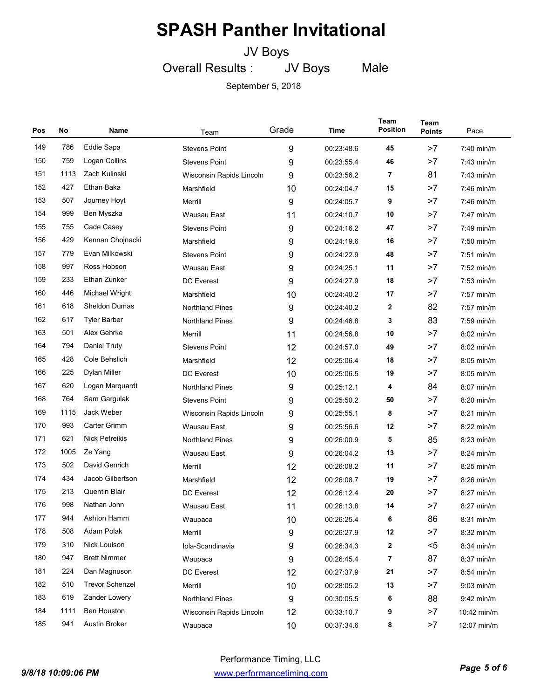JV Boys

Overall Results : JV Boys Male

| Pos | No   | Name                   | Team                     | Grade | Time       | Team<br><b>Position</b> | Team<br><b>Points</b> | Pace         |
|-----|------|------------------------|--------------------------|-------|------------|-------------------------|-----------------------|--------------|
| 149 | 786  | Eddie Sapa             | <b>Stevens Point</b>     | 9     | 00:23:48.6 | 45                      | >7                    | 7:40 min/m   |
| 150 | 759  | Logan Collins          | <b>Stevens Point</b>     | 9     | 00:23:55.4 | 46                      | >7                    | $7:43$ min/m |
| 151 | 1113 | Zach Kulinski          | Wisconsin Rapids Lincoln | 9     | 00:23:56.2 | 7                       | 81                    | $7:43$ min/m |
| 152 | 427  | Ethan Baka             | Marshfield               | 10    | 00:24:04.7 | 15                      | >7                    | $7:46$ min/m |
| 153 | 507  | Journey Hoyt           | Merrill                  | 9     | 00:24:05.7 | 9                       | >7                    | 7:46 min/m   |
| 154 | 999  | Ben Myszka             | Wausau East              | 11    | 00:24:10.7 | 10                      | >7                    | $7:47$ min/m |
| 155 | 755  | Cade Casey             | <b>Stevens Point</b>     | 9     | 00:24:16.2 | 47                      | >7                    | $7:49$ min/m |
| 156 | 429  | Kennan Chojnacki       | Marshfield               | 9     | 00:24:19.6 | 16                      | >7                    | $7:50$ min/m |
| 157 | 779  | Evan Milkowski         | <b>Stevens Point</b>     | 9     | 00:24:22.9 | 48                      | >7                    | $7:51$ min/m |
| 158 | 997  | Ross Hobson            | Wausau East              | 9     | 00:24:25.1 | 11                      | >7                    | $7:52$ min/m |
| 159 | 233  | Ethan Zunker           | <b>DC</b> Everest        | 9     | 00:24:27.9 | 18                      | >7                    | $7:53$ min/m |
| 160 | 446  | Michael Wright         | Marshfield               | 10    | 00:24:40.2 | 17                      | >7                    | $7:57$ min/m |
| 161 | 618  | <b>Sheldon Dumas</b>   | <b>Northland Pines</b>   | 9     | 00:24:40.2 | 2                       | 82                    | 7:57 min/m   |
| 162 | 617  | <b>Tyler Barber</b>    | <b>Northland Pines</b>   | 9     | 00:24:46.8 | 3                       | 83                    | 7:59 min/m   |
| 163 | 501  | Alex Gehrke            | Merrill                  | 11    | 00:24:56.8 | 10                      | >7                    | $8:02$ min/m |
| 164 | 794  | Daniel Truty           | <b>Stevens Point</b>     | 12    | 00:24:57.0 | 49                      | >7                    | $8:02$ min/m |
| 165 | 428  | Cole Behslich          | Marshfield               | 12    | 00:25:06.4 | 18                      | >7                    | 8:05 min/m   |
| 166 | 225  | Dylan Miller           | <b>DC</b> Everest        | 10    | 00:25:06.5 | 19                      | >7                    | $8:05$ min/m |
| 167 | 620  | Logan Marquardt        | <b>Northland Pines</b>   | 9     | 00:25:12.1 | 4                       | 84                    | $8:07$ min/m |
| 168 | 764  | Sam Gargulak           | <b>Stevens Point</b>     | 9     | 00:25:50.2 | 50                      | >7                    | $8:20$ min/m |
| 169 | 1115 | Jack Weber             | Wisconsin Rapids Lincoln | 9     | 00:25:55.1 | 8                       | >7                    | $8:21$ min/m |
| 170 | 993  | <b>Carter Grimm</b>    | Wausau East              | 9     | 00:25:56.6 | 12                      | >7                    | $8:22$ min/m |
| 171 | 621  | <b>Nick Petreikis</b>  | <b>Northland Pines</b>   | 9     | 00:26:00.9 | 5                       | 85                    | $8:23$ min/m |
| 172 | 1005 | Ze Yang                | Wausau East              | 9     | 00:26:04.2 | 13                      | >7                    | $8:24$ min/m |
| 173 | 502  | David Genrich          | Merrill                  | 12    | 00:26:08.2 | 11                      | >7                    | 8:25 min/m   |
| 174 | 434  | Jacob Gilbertson       | Marshfield               | 12    | 00:26:08.7 | 19                      | >7                    | $8:26$ min/m |
| 175 | 213  | <b>Quentin Blair</b>   | <b>DC</b> Everest        | 12    | 00:26:12.4 | 20                      | >7                    | $8:27$ min/m |
| 176 | 998  | Nathan John            | Wausau East              | 11    | 00:26:13.8 | 14                      | >7                    | 8:27 min/m   |
| 177 | 944  | Ashton Hamm            | Waupaca                  | 10    | 00:26:25.4 | 6                       | 86                    | 8:31 min/m   |
| 178 | 508  | Adam Polak             | Merrill                  | 9     | 00:26:27.9 | 12                      | >7                    | 8:32 min/m   |
| 179 | 310  | Nick Louison           | Iola-Scandinavia         | 9     | 00:26:34.3 | 2                       | $5$                   | 8:34 min/m   |
| 180 | 947  | <b>Brett Nimmer</b>    | Waupaca                  | 9     | 00:26:45.4 | 7                       | 87                    | 8:37 min/m   |
| 181 | 224  | Dan Magnuson           | DC Everest               | 12    | 00:27:37.9 | 21                      | >7                    | 8:54 min/m   |
| 182 | 510  | <b>Trevor Schenzel</b> | Merrill                  | 10    | 00:28:05.2 | 13                      | >7                    | $9:03$ min/m |
| 183 | 619  | Zander Lowery          | Northland Pines          | 9     | 00:30:05.5 | 6                       | 88                    | $9:42$ min/m |
| 184 | 1111 | <b>Ben Houston</b>     | Wisconsin Rapids Lincoln | 12    | 00:33:10.7 | 9                       | >7                    | 10:42 min/m  |
| 185 | 941  | Austin Broker          | Waupaca                  | 10    | 00:37:34.6 | 8                       | >7                    | 12:07 min/m  |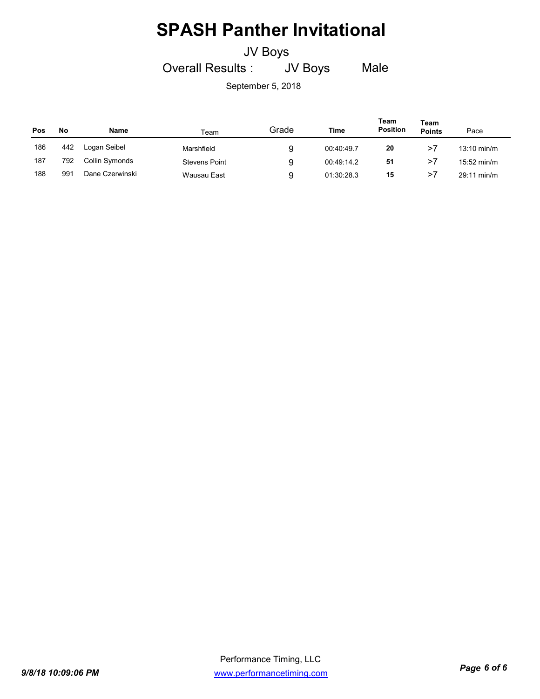### JV Boys

Overall Results : JV Boys Male

| Pos | No  | <b>Name</b>     | Team                 | Grade | Time       | Team<br><b>Position</b> | Team<br><b>Points</b> | Pace                  |
|-----|-----|-----------------|----------------------|-------|------------|-------------------------|-----------------------|-----------------------|
| 186 | 442 | Logan Seibel    | Marshfield           | 9     | 00:40:49.7 | 20                      | >7                    | $13:10$ min/m         |
| 187 | 792 | Collin Symonds  | <b>Stevens Point</b> | 9     | 00:49:14.2 | 51                      | >7                    | $15:52 \text{ min/m}$ |
| 188 | 991 | Dane Czerwinski | Wausau East          | 9     | 01:30:28.3 | 15                      | >7                    | $29:11 \text{ min/m}$ |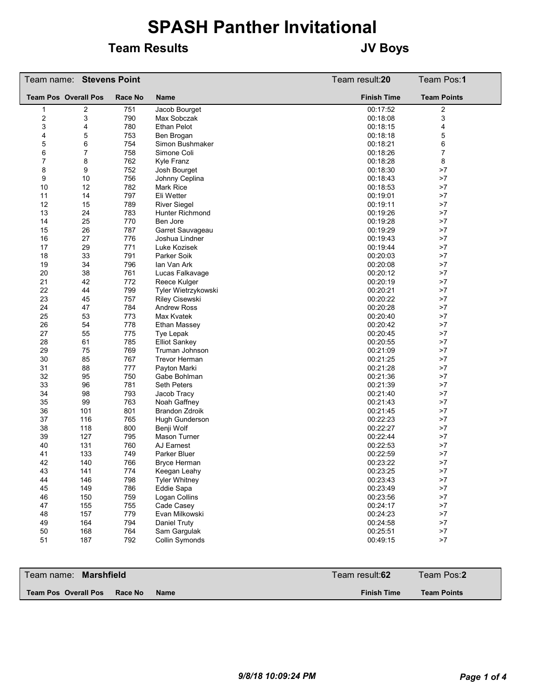### **Team Results JV Boys**

|                  | Team name: Stevens Point    |         |                        | Team result:20     | Team Pos:1         |
|------------------|-----------------------------|---------|------------------------|--------------------|--------------------|
|                  | <b>Team Pos Overall Pos</b> | Race No | Name                   | <b>Finish Time</b> | <b>Team Points</b> |
| 1                | 2                           | 751     | Jacob Bourget          | 00:17:52           | 2                  |
| $\boldsymbol{2}$ | 3                           | 790     | Max Sobczak            | 00:18:08           | 3                  |
| 3                | 4                           | 780     | <b>Ethan Pelot</b>     | 00:18:15           | 4                  |
| 4                | 5                           | 753     | Ben Brogan             | 00:18:18           | 5                  |
| 5                | 6                           | 754     | Simon Bushmaker        | 00:18:21           | 6                  |
| 6                | 7                           | 758     | Simone Coli            | 00:18:26           | $\boldsymbol{7}$   |
| 7                | 8                           | 762     | Kyle Franz             | 00:18:28           | 8                  |
| 8                | 9                           | 752     | Josh Bourget           | 00:18:30           | >7                 |
| 9                | 10                          | 756     | Johnny Ceplina         | 00:18:43           | >7                 |
| 10               | 12                          | 782     | <b>Mark Rice</b>       | 00:18:53           | >7                 |
| 11               | 14                          | 797     | Eli Wetter             | 00:19:01           | >7                 |
| 12               | 15                          | 789     | <b>River Siegel</b>    | 00:19:11           | >7                 |
| 13               | 24                          | 783     | <b>Hunter Richmond</b> | 00:19:26           | >7                 |
| 14               | 25                          | 770     | Ben Jore               | 00:19:28           | >7                 |
| 15               | 26                          | 787     | Garret Sauvageau       | 00:19:29           | >7                 |
| 16               | 27                          | 776     | Joshua Lindner         | 00:19:43           | >7                 |
| 17               | 29                          | 771     | Luke Kozisek           | 00:19:44           | >7                 |
| 18               | 33                          | 791     | Parker Soik            | 00:20:03           | >7                 |
| 19               | 34                          | 796     | Ian Van Ark            | 00:20:08           | >7                 |
| 20               | 38                          | 761     | Lucas Falkavage        | 00:20:12           | >7                 |
| 21               | 42                          | 772     | Reece Kulger           | 00:20:19           | >7                 |
| 22               | 44                          | 799     | Tyler Wietrzykowski    | 00:20:21           | >7                 |
| 23               | 45                          | 757     | <b>Riley Cisewski</b>  | 00:20:22           | >7                 |
| 24               | 47                          | 784     | <b>Andrew Ross</b>     | 00:20:28           | >7                 |
| 25               | 53                          | 773     | Max Kvatek             | 00:20:40           | >7                 |
| 26               | 54                          | 778     | Ethan Massey           | 00:20:42           | >7                 |
| 27               | 55                          | 775     | Tye Lepak              | 00:20:45           | >7                 |
| 28               | 61                          | 785     | <b>Elliot Sankey</b>   | 00:20:55           | >7                 |
| 29               | 75                          | 769     | Truman Johnson         | 00:21:09           | >7                 |
| 30               | 85                          | 767     | <b>Trevor Herman</b>   | 00:21:25           | >7                 |
| 31               | 88                          | 777     | Payton Marki           | 00:21:28           | >7                 |
| 32               | 95                          | 750     | Gabe Bohlman           | 00:21:36           | >7                 |
| 33               | 96                          | 781     | <b>Seth Peters</b>     | 00:21:39           | >7                 |
| 34               | 98                          | 793     | Jacob Tracy            | 00:21:40           | >7                 |
| 35               | 99                          | 763     | Noah Gaffney           | 00:21:43           | >7                 |
| 36               | 101                         | 801     | <b>Brandon Zdroik</b>  | 00:21:45           | >7                 |
| 37               | 116                         | 765     | Hugh Gunderson         | 00:22:23           | >7                 |
| 38               | 118                         | 800     | Benji Wolf             | 00:22:27           | >7                 |
| 39               | 127                         | 795     | <b>Mason Turner</b>    | 00:22:44           | >7                 |
| 40               | 131                         | 760     | AJ Earnest             | 00:22:53           | >7                 |
| 41               | 133                         | 749     | Parker Bluer           | 00:22:59           | >7                 |
| 42               | 140                         | 766     | <b>Bryce Herman</b>    | 00:23:22           | >7                 |
| 43               | 141                         | 774     | Keegan Leahy           | 00:23:25           | $>\!\!7$           |
| 44               | 146                         | 798     | <b>Tyler Whitney</b>   | 00:23:43           | ${>}7$             |
| 45               | 149                         | 786     | Eddie Sapa             | 00:23:49           | ${>}7$             |
| 46               | 150                         | 759     | Logan Collins          | 00:23:56           | $>7$               |
| 47               | 155                         | 755     | Cade Casey             | 00:24:17           | ${>}7$             |
| 48               | 157                         | 779     | Evan Milkowski         | 00:24:23           | $>7$               |
| 49               | 164                         | 794     | Daniel Truty           | 00:24:58           | $>7$               |
| 50               | 168                         | 764     | Sam Gargulak           | 00:25:51           | $>7$               |
| 51               | 187                         | 792     | Collin Symonds         | 00:49:15           | $>7$               |
|                  |                             |         |                        |                    |                    |

| Team name: <b>Marshfield</b>                          | Team result:62     | Team Pos:2         |
|-------------------------------------------------------|--------------------|--------------------|
| <b>Team Pos Overall Pos</b><br>Race No<br><b>Name</b> | <b>Finish Time</b> | <b>Team Points</b> |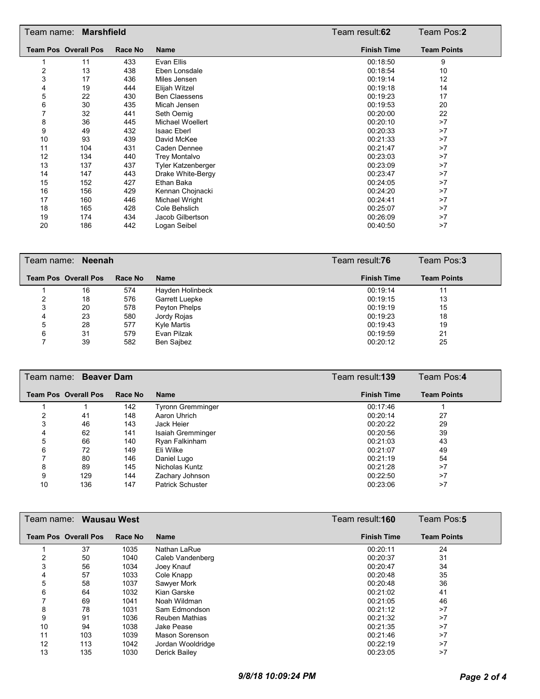| Team name:              | <b>Marshfield</b>           |         |                           | Team result:62     | Team Pos:2         |
|-------------------------|-----------------------------|---------|---------------------------|--------------------|--------------------|
|                         | <b>Team Pos Overall Pos</b> | Race No | <b>Name</b>               | <b>Finish Time</b> | <b>Team Points</b> |
|                         | 11                          | 433     | Evan Ellis                | 00:18:50           | 9                  |
| $\overline{\mathbf{c}}$ | 13                          | 438     | Eben Lonsdale             | 00:18:54           | 10                 |
| 3                       | 17                          | 436     | Miles Jensen              | 00:19:14           | 12                 |
| 4                       | 19                          | 444     | Elijah Witzel             | 00:19:18           | 14                 |
| 5                       | 22                          | 430     | <b>Ben Claessens</b>      | 00:19:23           | 17                 |
| 6                       | 30                          | 435     | Micah Jensen              | 00:19:53           | 20                 |
|                         | 32                          | 441     | Seth Oemig                | 00:20:00           | 22                 |
| 8                       | 36                          | 445     | Michael Woellert          | 00:20:10           | >7                 |
| 9                       | 49                          | 432     | <b>Isaac Eberl</b>        | 00:20:33           | >7                 |
| 10                      | 93                          | 439     | David McKee               | 00:21:33           | >7                 |
| 11                      | 104                         | 431     | Caden Dennee              | 00:21:47           | >7                 |
| 12                      | 134                         | 440     | <b>Trey Montalvo</b>      | 00:23:03           | >7                 |
| 13                      | 137                         | 437     | <b>Tyler Katzenberger</b> | 00:23:09           | >7                 |
| 14                      | 147                         | 443     | Drake White-Bergy         | 00:23:47           | >7                 |
| 15                      | 152                         | 427     | Ethan Baka                | 00:24:05           | >7                 |
| 16                      | 156                         | 429     | Kennan Chojnacki          | 00:24:20           | >7                 |
| 17                      | 160                         | 446     | Michael Wright            | 00:24:41           | >7                 |
| 18                      | 165                         | 428     | Cole Behslich             | 00:25:07           | >7                 |
| 19                      | 174                         | 434     | Jacob Gilbertson          | 00:26:09           | >7                 |
| 20                      | 186                         | 442     | Logan Seibel              | 00:40:50           | >7                 |

|   | Team name: Neenah           |         |                    | Team result:76     | Team Pos:3         |
|---|-----------------------------|---------|--------------------|--------------------|--------------------|
|   | <b>Team Pos Overall Pos</b> | Race No | <b>Name</b>        | <b>Finish Time</b> | <b>Team Points</b> |
|   | 16                          | 574     | Hayden Holinbeck   | 00:19:14           | 11                 |
|   | 18                          | 576     | Garrett Luepke     | 00:19:15           | 13                 |
| 3 | 20                          | 578     | Peyton Phelps      | 00:19:19           | 15                 |
| 4 | 23                          | 580     | Jordy Rojas        | 00:19:23           | 18                 |
| 5 | 28                          | 577     | <b>Kyle Martis</b> | 00:19:43           | 19                 |
| 6 | 31                          | 579     | Evan Pilzak        | 00:19:59           | 21                 |
|   | 39                          | 582     | Ben Sajbez         | 00:20:12           | 25                 |

|    | Team name: Beaver Dam       |         | Team result: <b>139</b>  | Team Pos:4         |                    |
|----|-----------------------------|---------|--------------------------|--------------------|--------------------|
|    | <b>Team Pos Overall Pos</b> | Race No | <b>Name</b>              | <b>Finish Time</b> | <b>Team Points</b> |
|    |                             | 142     | <b>Tyronn Gremminger</b> | 00:17:46           |                    |
|    | 41                          | 148     | Aaron Uhrich             | 00:20:14           | 27                 |
|    | 46                          | 143     | Jack Heier               | 00:20:22           | 29                 |
| 4  | 62                          | 141     | Isaiah Gremminger        | 00:20:56           | 39                 |
| 5  | 66                          | 140     | Ryan Falkinham           | 00:21:03           | 43                 |
| 6  | 72                          | 149     | Eli Wilke                | 00:21:07           | 49                 |
|    | 80                          | 146     | Daniel Lugo              | 00:21:19           | 54                 |
| 8  | 89                          | 145     | Nicholas Kuntz           | 00:21:28           | >7                 |
| 9  | 129                         | 144     | Zachary Johnson          | 00:22:50           | >7                 |
| 10 | 136                         | 147     | <b>Patrick Schuster</b>  | 00:23:06           | >7                 |

|    | Team name: <b>Wausau West</b> |         |                   | Team result:160    | Team Pos:5         |
|----|-------------------------------|---------|-------------------|--------------------|--------------------|
|    | <b>Team Pos Overall Pos</b>   | Race No | <b>Name</b>       | <b>Finish Time</b> | <b>Team Points</b> |
|    | 37                            | 1035    | Nathan LaRue      | 00:20:11           | 24                 |
| 2  | 50                            | 1040    | Caleb Vandenberg  | 00:20:37           | 31                 |
| 3  | 56                            | 1034    | Joey Knauf        | 00:20:47           | 34                 |
| 4  | 57                            | 1033    | Cole Knapp        | 00:20:48           | 35                 |
| 5  | 58                            | 1037    | Sawyer Mork       | 00:20:48           | 36                 |
| 6  | 64                            | 1032    | Kian Garske       | 00:21:02           | 41                 |
|    | 69                            | 1041    | Noah Wildman      | 00:21:05           | 46                 |
| 8  | 78                            | 1031    | Sam Edmondson     | 00:21:12           | >7                 |
| 9  | 91                            | 1036    | Reuben Mathias    | 00:21:32           | >7                 |
| 10 | 94                            | 1038    | Jake Pease        | 00:21:35           | >7                 |
| 11 | 103                           | 1039    | Mason Sorenson    | 00:21:46           | >7                 |
| 12 | 113                           | 1042    | Jordan Wooldridge | 00:22:19           | >7                 |
| 13 | 135                           | 1030    | Derick Bailev     | 00:23:05           | >7                 |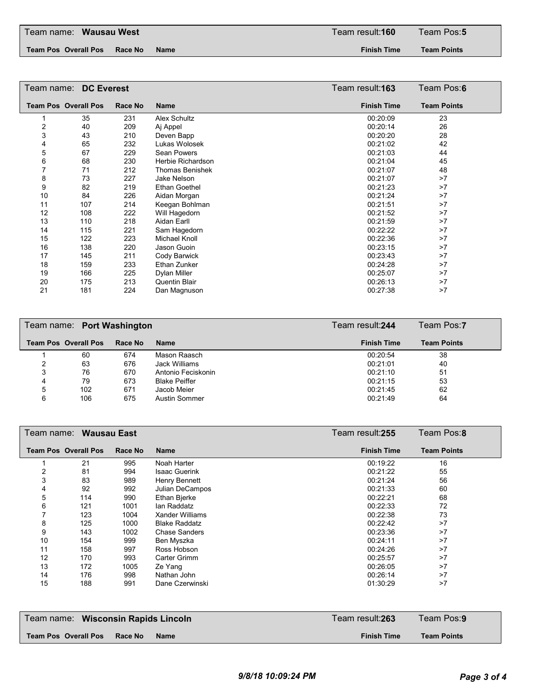**Team Pos Overall Pos Race No Name Finish Time**

**Team Points**

|    | Team name: DC Everest       |         |                        | Team result: <b>163</b> | Team Pos:6         |  |
|----|-----------------------------|---------|------------------------|-------------------------|--------------------|--|
|    | <b>Team Pos Overall Pos</b> | Race No | <b>Name</b>            | <b>Finish Time</b>      | <b>Team Points</b> |  |
|    | 35                          | 231     | Alex Schultz           | 00:20:09                | 23                 |  |
| 2  | 40                          | 209     | Aj Appel               | 00:20:14                | 26                 |  |
| 3  | 43                          | 210     | Deven Bapp             | 00:20:20                | 28                 |  |
| 4  | 65                          | 232     | Lukas Wolosek          | 00:21:02                | 42                 |  |
| 5  | 67                          | 229     | Sean Powers            | 00:21:03                | 44                 |  |
| 6  | 68                          | 230     | Herbie Richardson      | 00:21:04                | 45                 |  |
|    | 71                          | 212     | <b>Thomas Benishek</b> | 00:21:07                | 48                 |  |
| 8  | 73                          | 227     | Jake Nelson            | 00:21:07                | >7                 |  |
| 9  | 82                          | 219     | <b>Ethan Goethel</b>   | 00:21:23                | >7                 |  |
| 10 | 84                          | 226     | Aidan Morgan           | 00:21:24                | >7                 |  |
| 11 | 107                         | 214     | Keegan Bohlman         | 00:21:51                | >7                 |  |
| 12 | 108                         | 222     | Will Hagedorn          | 00:21:52                | >7                 |  |
| 13 | 110                         | 218     | Aidan Earll            | 00:21:59                | >7                 |  |
| 14 | 115                         | 221     | Sam Hagedorn           | 00:22:22                | >7                 |  |
| 15 | 122                         | 223     | Michael Knoll          | 00:22:36                | >7                 |  |
| 16 | 138                         | 220     | Jason Guoin            | 00:23:15                | >7                 |  |
| 17 | 145                         | 211     | Cody Barwick           | 00:23:43                | >7                 |  |
| 18 | 159                         | 233     | Ethan Zunker           | 00:24:28                | >7                 |  |
| 19 | 166                         | 225     | Dylan Miller           | 00:25:07                | >7                 |  |
| 20 | 175                         | 213     | <b>Quentin Blair</b>   | 00:26:13                | >7                 |  |
| 21 | 181                         | 224     | Dan Magnuson           | 00:27:38                | >7                 |  |

|   | Team name: Port Washington  |         | Team result: 244     | Team Pos:7         |                    |
|---|-----------------------------|---------|----------------------|--------------------|--------------------|
|   | <b>Team Pos Overall Pos</b> | Race No | <b>Name</b>          | <b>Finish Time</b> | <b>Team Points</b> |
|   | 60                          | 674     | Mason Raasch         | 00:20:54           | 38                 |
|   | 63                          | 676     | Jack Williams        | 00:21:01           | 40                 |
|   | 76                          | 670     | Antonio Feciskonin   | 00:21:10           | 51                 |
| 4 | 79                          | 673     | <b>Blake Peiffer</b> | 00:21:15           | 53                 |
| 5 | 102                         | 671     | Jacob Meier          | 00:21:45           | 62                 |
| 6 | 106                         | 675     | <b>Austin Sommer</b> | 00:21:49           | 64                 |

|     |                             |                        | Team result:255    | Team Pos:8         |
|-----|-----------------------------|------------------------|--------------------|--------------------|
|     | Race No                     | <b>Name</b>            | <b>Finish Time</b> | <b>Team Points</b> |
| 21  | 995                         | Noah Harter            | 00:19:22           | 16                 |
| 81  | 994                         | <b>Isaac Guerink</b>   | 00:21:22           | 55                 |
| 83  | 989                         | Henry Bennett          | 00:21:24           | 56                 |
| 92  | 992                         | Julian DeCampos        | 00:21:33           | 60                 |
| 114 | 990                         | Ethan Bjerke           | 00:22:21           | 68                 |
| 121 | 1001                        | lan Raddatz            | 00:22:33           | 72                 |
| 123 | 1004                        | <b>Xander Williams</b> | 00:22:38           | 73                 |
| 125 | 1000                        | <b>Blake Raddatz</b>   | 00:22:42           | >7                 |
| 143 | 1002                        | <b>Chase Sanders</b>   | 00:23:36           | >7                 |
| 154 | 999                         | Ben Myszka             | 00:24:11           | >7                 |
| 158 | 997                         | Ross Hobson            | 00:24:26           | >7                 |
| 170 | 993                         | <b>Carter Grimm</b>    | 00:25:57           | >7                 |
| 172 | 1005                        | Ze Yang                | 00:26:05           | >7                 |
| 176 | 998                         | Nathan John            | 00:26:14           | >7                 |
| 188 | 991                         | Dane Czerwinski        | 01:30:29           | >7                 |
|     |                             |                        |                    |                    |
|     | <b>Team Pos Overall Pos</b> | Team name: Wausau East |                    |                    |

| Team name: Wisconsin Rapids Lincoln            | Team result: <b>263</b> | Team Pos: <b>9</b> |
|------------------------------------------------|-------------------------|--------------------|
| <b>Team Pos Overall Pos</b><br>Race No<br>Name | <b>Finish Time</b>      | <b>Team Points</b> |